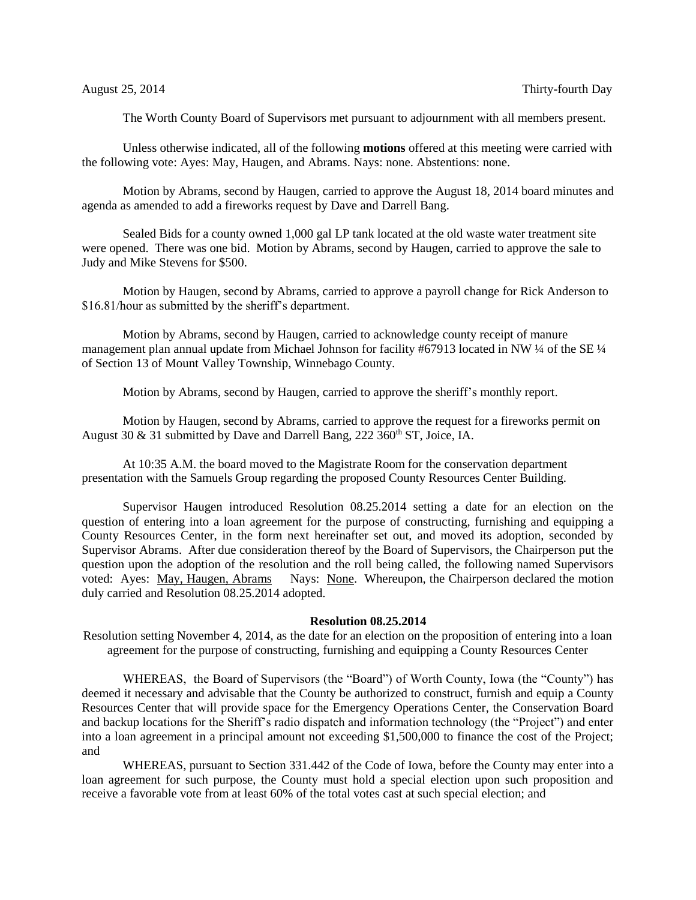The Worth County Board of Supervisors met pursuant to adjournment with all members present.

Unless otherwise indicated, all of the following **motions** offered at this meeting were carried with the following vote: Ayes: May, Haugen, and Abrams. Nays: none. Abstentions: none.

Motion by Abrams, second by Haugen, carried to approve the August 18, 2014 board minutes and agenda as amended to add a fireworks request by Dave and Darrell Bang.

Sealed Bids for a county owned 1,000 gal LP tank located at the old waste water treatment site were opened. There was one bid. Motion by Abrams, second by Haugen, carried to approve the sale to Judy and Mike Stevens for \$500.

Motion by Haugen, second by Abrams, carried to approve a payroll change for Rick Anderson to \$16.81/hour as submitted by the sheriff's department.

Motion by Abrams, second by Haugen, carried to acknowledge county receipt of manure management plan annual update from Michael Johnson for facility #67913 located in NW ¼ of the SE ¼ of Section 13 of Mount Valley Township, Winnebago County.

Motion by Abrams, second by Haugen, carried to approve the sheriff's monthly report.

Motion by Haugen, second by Abrams, carried to approve the request for a fireworks permit on August 30 & 31 submitted by Dave and Darrell Bang,  $222\,360^{\text{th}}$  ST, Joice, IA.

At 10:35 A.M. the board moved to the Magistrate Room for the conservation department presentation with the Samuels Group regarding the proposed County Resources Center Building.

Supervisor Haugen introduced Resolution 08.25.2014 setting a date for an election on the question of entering into a loan agreement for the purpose of constructing, furnishing and equipping a County Resources Center, in the form next hereinafter set out, and moved its adoption, seconded by Supervisor Abrams. After due consideration thereof by the Board of Supervisors, the Chairperson put the question upon the adoption of the resolution and the roll being called, the following named Supervisors voted: Aves: May, Haugen, Abrams Nays: None. Whereupon, the Chairperson declared the motion Nays: None. Whereupon, the Chairperson declared the motion duly carried and Resolution 08.25.2014 adopted.

## **Resolution 08.25.2014**

Resolution setting November 4, 2014, as the date for an election on the proposition of entering into a loan agreement for the purpose of constructing, furnishing and equipping a County Resources Center

WHEREAS, the Board of Supervisors (the "Board") of Worth County, Iowa (the "County") has deemed it necessary and advisable that the County be authorized to construct, furnish and equip a County Resources Center that will provide space for the Emergency Operations Center, the Conservation Board and backup locations for the Sheriff's radio dispatch and information technology (the "Project") and enter into a loan agreement in a principal amount not exceeding \$1,500,000 to finance the cost of the Project; and

WHEREAS, pursuant to Section 331.442 of the Code of Iowa, before the County may enter into a loan agreement for such purpose, the County must hold a special election upon such proposition and receive a favorable vote from at least 60% of the total votes cast at such special election; and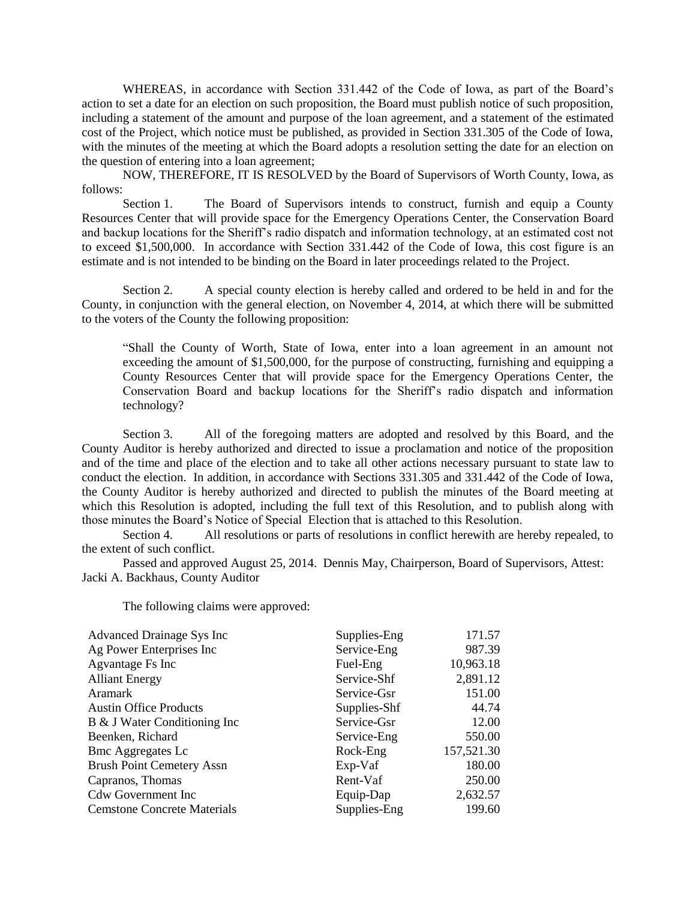WHEREAS, in accordance with Section 331.442 of the Code of Iowa, as part of the Board's action to set a date for an election on such proposition, the Board must publish notice of such proposition, including a statement of the amount and purpose of the loan agreement, and a statement of the estimated cost of the Project, which notice must be published, as provided in Section 331.305 of the Code of Iowa, with the minutes of the meeting at which the Board adopts a resolution setting the date for an election on the question of entering into a loan agreement;

NOW, THEREFORE, IT IS RESOLVED by the Board of Supervisors of Worth County, Iowa, as follows:

Section 1. The Board of Supervisors intends to construct, furnish and equip a County Resources Center that will provide space for the Emergency Operations Center, the Conservation Board and backup locations for the Sheriff's radio dispatch and information technology, at an estimated cost not to exceed \$1,500,000. In accordance with Section 331.442 of the Code of Iowa, this cost figure is an estimate and is not intended to be binding on the Board in later proceedings related to the Project.

Section 2. A special county election is hereby called and ordered to be held in and for the County, in conjunction with the general election, on November 4, 2014, at which there will be submitted to the voters of the County the following proposition:

"Shall the County of Worth, State of Iowa, enter into a loan agreement in an amount not exceeding the amount of \$1,500,000, for the purpose of constructing, furnishing and equipping a County Resources Center that will provide space for the Emergency Operations Center, the Conservation Board and backup locations for the Sheriff's radio dispatch and information technology?

Section 3. All of the foregoing matters are adopted and resolved by this Board, and the County Auditor is hereby authorized and directed to issue a proclamation and notice of the proposition and of the time and place of the election and to take all other actions necessary pursuant to state law to conduct the election. In addition, in accordance with Sections 331.305 and 331.442 of the Code of Iowa, the County Auditor is hereby authorized and directed to publish the minutes of the Board meeting at which this Resolution is adopted, including the full text of this Resolution, and to publish along with those minutes the Board's Notice of Special Election that is attached to this Resolution.

Section 4. All resolutions or parts of resolutions in conflict herewith are hereby repealed, to the extent of such conflict.

Passed and approved August 25, 2014. Dennis May, Chairperson, Board of Supervisors, Attest: Jacki A. Backhaus, County Auditor

The following claims were approved:

| Advanced Drainage Sys Inc          | Supplies-Eng | 171.57     |
|------------------------------------|--------------|------------|
| Ag Power Enterprises Inc           | Service-Eng  | 987.39     |
| Agvantage Fs Inc                   | Fuel-Eng     | 10,963.18  |
| <b>Alliant Energy</b>              | Service-Shf  | 2,891.12   |
| <b>Aramark</b>                     | Service-Gsr  | 151.00     |
| <b>Austin Office Products</b>      | Supplies-Shf | 44.74      |
| B & J Water Conditioning Inc       | Service-Gsr  | 12.00      |
| Beenken, Richard                   | Service-Eng  | 550.00     |
| <b>Bmc Aggregates Lc</b>           | Rock-Eng     | 157,521.30 |
| <b>Brush Point Cemetery Assn</b>   | Exp-Vaf      | 180.00     |
| Capranos, Thomas                   | Rent-Vaf     | 250.00     |
| <b>Cdw Government Inc</b>          | Equip-Dap    | 2,632.57   |
| <b>Cemstone Concrete Materials</b> | Supplies-Eng | 199.60     |
|                                    |              |            |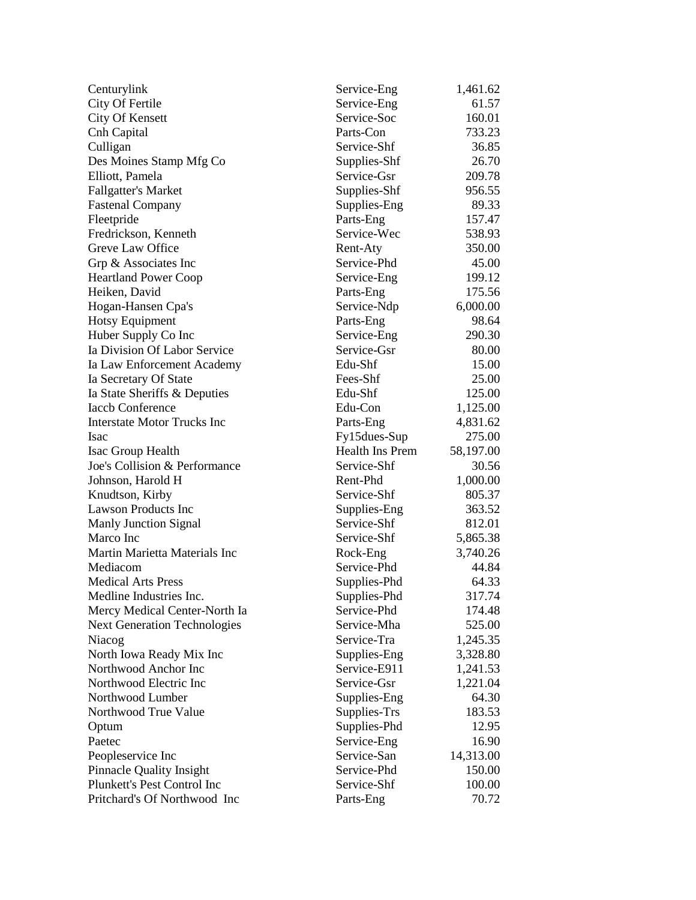| Centurylink                         | Service-Eng            | 1,461.62  |
|-------------------------------------|------------------------|-----------|
| City Of Fertile                     | Service-Eng            | 61.57     |
| <b>City Of Kensett</b>              | Service-Soc            | 160.01    |
| Cnh Capital                         | Parts-Con              | 733.23    |
| Culligan                            | Service-Shf            | 36.85     |
| Des Moines Stamp Mfg Co             | Supplies-Shf           | 26.70     |
| Elliott, Pamela                     | Service-Gsr            | 209.78    |
| <b>Fallgatter's Market</b>          | Supplies-Shf           | 956.55    |
| <b>Fastenal Company</b>             | Supplies-Eng           | 89.33     |
| Fleetpride                          | Parts-Eng              | 157.47    |
| Fredrickson, Kenneth                | Service-Wec            | 538.93    |
| Greve Law Office                    | Rent-Aty               | 350.00    |
| Grp & Associates Inc                | Service-Phd            | 45.00     |
| <b>Heartland Power Coop</b>         | Service-Eng            | 199.12    |
| Heiken, David                       | Parts-Eng              | 175.56    |
| Hogan-Hansen Cpa's                  | Service-Ndp            | 6,000.00  |
| <b>Hotsy Equipment</b>              | Parts-Eng              | 98.64     |
| Huber Supply Co Inc                 | Service-Eng            | 290.30    |
| Ia Division Of Labor Service        | Service-Gsr            | 80.00     |
| Ia Law Enforcement Academy          | Edu-Shf                | 15.00     |
| Ia Secretary Of State               | Fees-Shf               | 25.00     |
| Ia State Sheriffs & Deputies        | Edu-Shf                | 125.00    |
| <b>Iaccb Conference</b>             | Edu-Con                | 1,125.00  |
| <b>Interstate Motor Trucks Inc</b>  | Parts-Eng              | 4,831.62  |
| Isac                                | Fy15dues-Sup           | 275.00    |
| Isac Group Health                   | <b>Health Ins Prem</b> | 58,197.00 |
| Joe's Collision & Performance       | Service-Shf            | 30.56     |
| Johnson, Harold H                   | Rent-Phd               | 1,000.00  |
| Knudtson, Kirby                     | Service-Shf            | 805.37    |
| <b>Lawson Products Inc</b>          | Supplies-Eng           | 363.52    |
| <b>Manly Junction Signal</b>        | Service-Shf            | 812.01    |
| Marco Inc                           | Service-Shf            | 5,865.38  |
| Martin Marietta Materials Inc       | Rock-Eng               | 3,740.26  |
| Mediacom                            | Service-Phd            | 44.84     |
| <b>Medical Arts Press</b>           | Supplies-Phd           | 64.33     |
| Medline Industries Inc.             | Supplies-Phd           | 317.74    |
| Mercy Medical Center-North Ia       | Service-Phd            | 174.48    |
| <b>Next Generation Technologies</b> | Service-Mha            | 525.00    |
| Niacog                              | Service-Tra            | 1,245.35  |
| North Iowa Ready Mix Inc            | Supplies-Eng           | 3,328.80  |
| Northwood Anchor Inc                | Service-E911           | 1,241.53  |
| Northwood Electric Inc              | Service-Gsr            | 1,221.04  |
| Northwood Lumber                    | Supplies-Eng           | 64.30     |
| Northwood True Value                | Supplies-Trs           | 183.53    |
| Optum                               | Supplies-Phd           | 12.95     |
| Paetec                              | Service-Eng            | 16.90     |
| Peopleservice Inc                   | Service-San            | 14,313.00 |
| Pinnacle Quality Insight            | Service-Phd            | 150.00    |
| Plunkett's Pest Control Inc         | Service-Shf            | 100.00    |
| Pritchard's Of Northwood Inc        | Parts-Eng              | 70.72     |
|                                     |                        |           |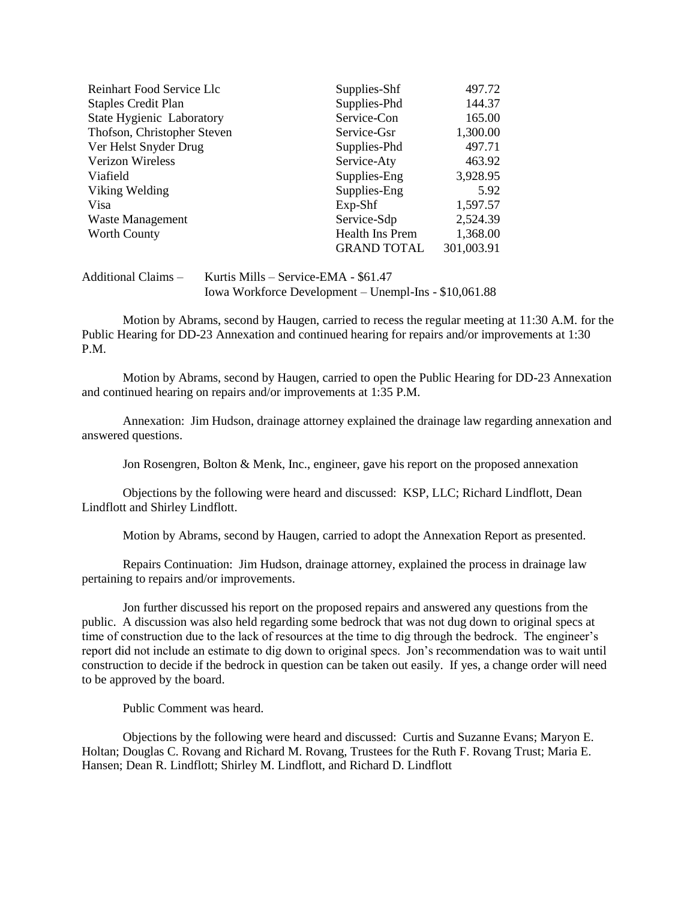| Reinhart Food Service Llc        | Supplies-Shf           | 497.72     |
|----------------------------------|------------------------|------------|
| <b>Staples Credit Plan</b>       | Supplies-Phd           | 144.37     |
| <b>State Hygienic Laboratory</b> | Service-Con            | 165.00     |
| Thofson, Christopher Steven      | Service-Gsr            | 1,300.00   |
| Ver Helst Snyder Drug            | Supplies-Phd           | 497.71     |
| Verizon Wireless                 | Service-Aty            | 463.92     |
| Viafield                         | Supplies-Eng           | 3,928.95   |
| Viking Welding                   | Supplies-Eng           | 5.92       |
| Visa                             | $Exp-Shf$              | 1,597.57   |
| Waste Management                 | Service-Sdp            | 2,524.39   |
| Worth County                     | <b>Health Ins Prem</b> | 1,368.00   |
|                                  | <b>GRAND TOTAL</b>     | 301,003.91 |

## Additional Claims – Kurtis Mills – Service-EMA - \$61.47 Iowa Workforce Development – Unempl-Ins - \$10,061.88

Motion by Abrams, second by Haugen, carried to recess the regular meeting at 11:30 A.M. for the Public Hearing for DD-23 Annexation and continued hearing for repairs and/or improvements at 1:30 P.M.

Motion by Abrams, second by Haugen, carried to open the Public Hearing for DD-23 Annexation and continued hearing on repairs and/or improvements at 1:35 P.M.

Annexation: Jim Hudson, drainage attorney explained the drainage law regarding annexation and answered questions.

Jon Rosengren, Bolton & Menk, Inc., engineer, gave his report on the proposed annexation

Objections by the following were heard and discussed: KSP, LLC; Richard Lindflott, Dean Lindflott and Shirley Lindflott.

Motion by Abrams, second by Haugen, carried to adopt the Annexation Report as presented.

Repairs Continuation: Jim Hudson, drainage attorney, explained the process in drainage law pertaining to repairs and/or improvements.

Jon further discussed his report on the proposed repairs and answered any questions from the public. A discussion was also held regarding some bedrock that was not dug down to original specs at time of construction due to the lack of resources at the time to dig through the bedrock. The engineer's report did not include an estimate to dig down to original specs. Jon's recommendation was to wait until construction to decide if the bedrock in question can be taken out easily. If yes, a change order will need to be approved by the board.

Public Comment was heard.

Objections by the following were heard and discussed: Curtis and Suzanne Evans; Maryon E. Holtan; Douglas C. Rovang and Richard M. Rovang, Trustees for the Ruth F. Rovang Trust; Maria E. Hansen; Dean R. Lindflott; Shirley M. Lindflott, and Richard D. Lindflott